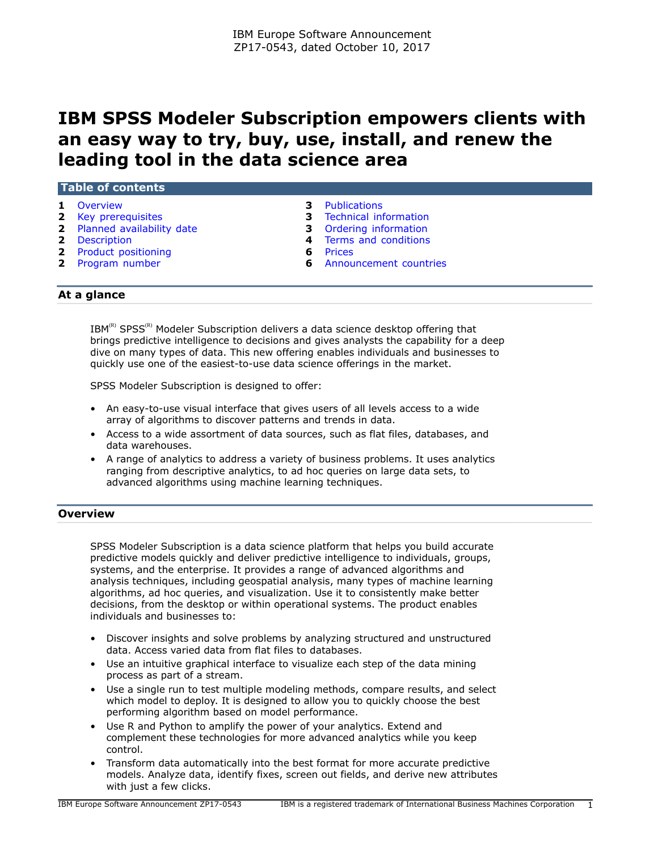# **IBM SPSS Modeler Subscription empowers clients with an easy way to try, buy, use, install, and renew the leading tool in the data science area**

| <b>Table of contents</b>    |                                 |
|-----------------------------|---------------------------------|
| 1 Overview                  | <b>3</b> Publications           |
| <b>2</b> Key prerequisites  | <b>3</b> Technical information  |
| 2 Planned availability date | <b>3</b> Ordering information   |
| <b>2</b> Description        | 4 Terms and conditions          |
| 2 Product positioning       | <b>6</b> Prices                 |
| 2 Program number            | <b>6</b> Announcement countries |

# **At a glance**

 $IBM^{(R)}$  SPSS<sup>(R)</sup> Modeler Subscription delivers a data science desktop offering that brings predictive intelligence to decisions and gives analysts the capability for a deep dive on many types of data. This new offering enables individuals and businesses to quickly use one of the easiest-to-use data science offerings in the market.

SPSS Modeler Subscription is designed to offer:

- An easy-to-use visual interface that gives users of all levels access to a wide array of algorithms to discover patterns and trends in data.
- Access to a wide assortment of data sources, such as flat files, databases, and data warehouses.
- A range of analytics to address a variety of business problems. It uses analytics ranging from descriptive analytics, to ad hoc queries on large data sets, to advanced algorithms using machine learning techniques.

## <span id="page-0-0"></span>**Overview**

SPSS Modeler Subscription is a data science platform that helps you build accurate predictive models quickly and deliver predictive intelligence to individuals, groups, systems, and the enterprise. It provides a range of advanced algorithms and analysis techniques, including geospatial analysis, many types of machine learning algorithms, ad hoc queries, and visualization. Use it to consistently make better decisions, from the desktop or within operational systems. The product enables individuals and businesses to:

- Discover insights and solve problems by analyzing structured and unstructured data. Access varied data from flat files to databases.
- Use an intuitive graphical interface to visualize each step of the data mining process as part of a stream.
- Use a single run to test multiple modeling methods, compare results, and select which model to deploy. It is designed to allow you to quickly choose the best performing algorithm based on model performance.
- Use R and Python to amplify the power of your analytics. Extend and complement these technologies for more advanced analytics while you keep control.
- Transform data automatically into the best format for more accurate predictive models. Analyze data, identify fixes, screen out fields, and derive new attributes with just a few clicks.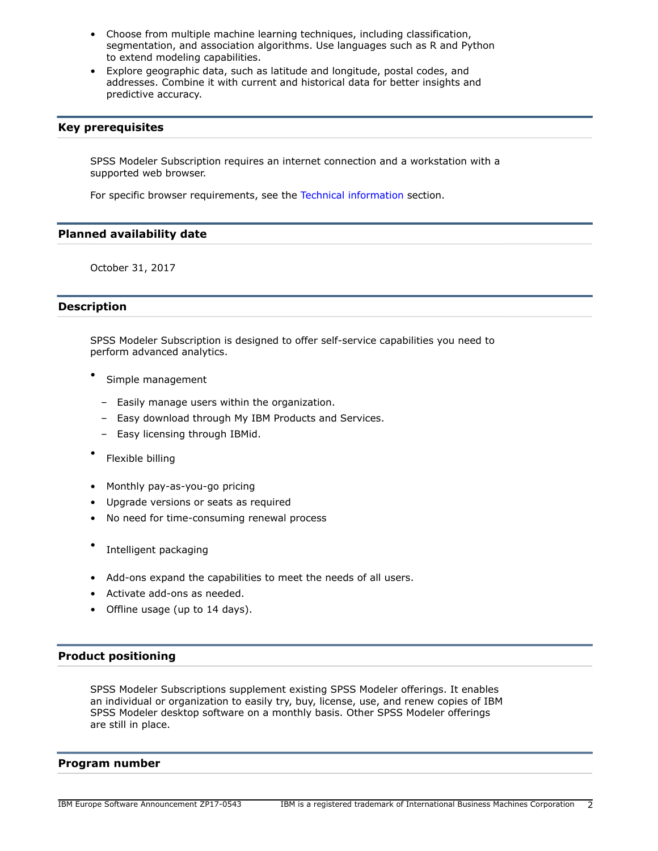- Choose from multiple machine learning techniques, including classification, segmentation, and association algorithms. Use languages such as R and Python to extend modeling capabilities.
- Explore geographic data, such as latitude and longitude, postal codes, and addresses. Combine it with current and historical data for better insights and predictive accuracy.

## <span id="page-1-0"></span>**Key prerequisites**

SPSS Modeler Subscription requires an internet connection and a workstation with a supported web browser.

For specific browser requirements, see the [Technical information](#page-2-1) section.

## <span id="page-1-1"></span>**Planned availability date**

October 31, 2017

# <span id="page-1-2"></span>**Description**

SPSS Modeler Subscription is designed to offer self-service capabilities you need to perform advanced analytics.

- Simple management
	- Easily manage users within the organization.
	- Easy download through My IBM Products and Services.
	- Easy licensing through IBMid.
- Flexible billing
- Monthly pay-as-you-go pricing
- Upgrade versions or seats as required
- No need for time-consuming renewal process
- Intelligent packaging
- Add-ons expand the capabilities to meet the needs of all users.
- Activate add-ons as needed.
- Offline usage (up to 14 days).

# <span id="page-1-3"></span>**Product positioning**

SPSS Modeler Subscriptions supplement existing SPSS Modeler offerings. It enables an individual or organization to easily try, buy, license, use, and renew copies of IBM SPSS Modeler desktop software on a monthly basis. Other SPSS Modeler offerings are still in place.

## <span id="page-1-4"></span>**Program number**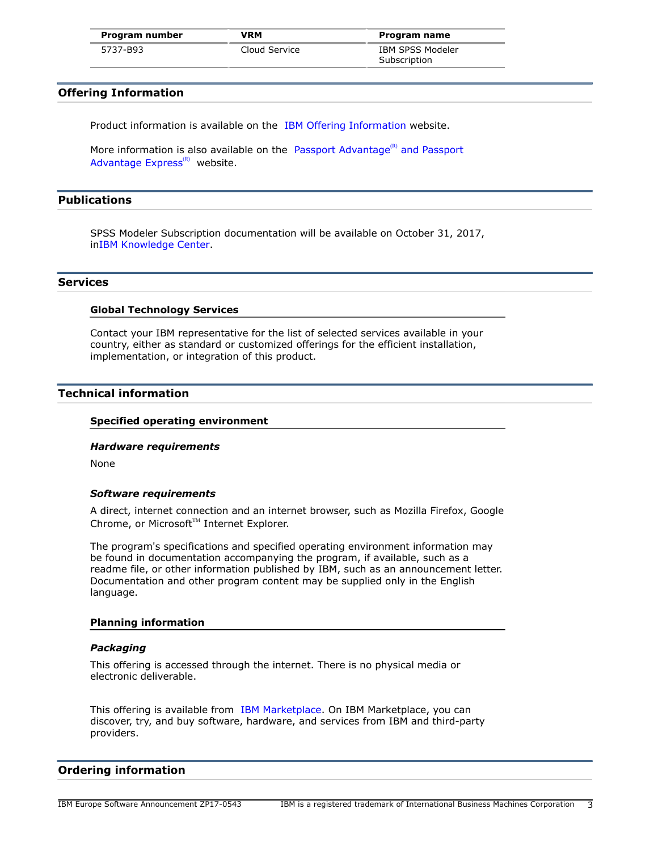| Program number | <b>VRM</b>    | Program name     |
|----------------|---------------|------------------|
| 5737-B93       | Cloud Service | IBM SPSS Modeler |
|                |               | Subscription     |

## **Offering Information**

Product information is available on the [IBM Offering Information](http://www.ibm.com/common/ssi) website.

More information is also available on the [Passport Advantage](http://www.ibm.com/software/passportadvantage)<sup>(R)</sup> and Passport [Advantage Express](http://www.ibm.com/software/passportadvantage) $(R)$  website.

# <span id="page-2-0"></span>**Publications**

SPSS Modeler Subscription documentation will be available on October 31, 2017, i[nIBM Knowledge Center](https://www.ibm.com/support/knowledgecenter/SS3RA7_subl).

#### **Services**

#### **Global Technology Services**

Contact your IBM representative for the list of selected services available in your country, either as standard or customized offerings for the efficient installation, implementation, or integration of this product.

# <span id="page-2-1"></span>**Technical information**

## **Specified operating environment**

#### *Hardware requirements*

None

#### *Software requirements*

A direct, internet connection and an internet browser, such as Mozilla Firefox, Google Chrome, or Microsoft™ Internet Explorer.

The program's specifications and specified operating environment information may be found in documentation accompanying the program, if available, such as a readme file, or other information published by IBM, such as an announcement letter. Documentation and other program content may be supplied only in the English language.

#### **Planning information**

#### *Packaging*

This offering is accessed through the internet. There is no physical media or electronic deliverable.

This offering is available from [IBM Marketplace](https://www.ibm.com/us-en/marketplace). On IBM Marketplace, you can discover, try, and buy software, hardware, and services from IBM and third-party providers.

#### <span id="page-2-2"></span>**Ordering information**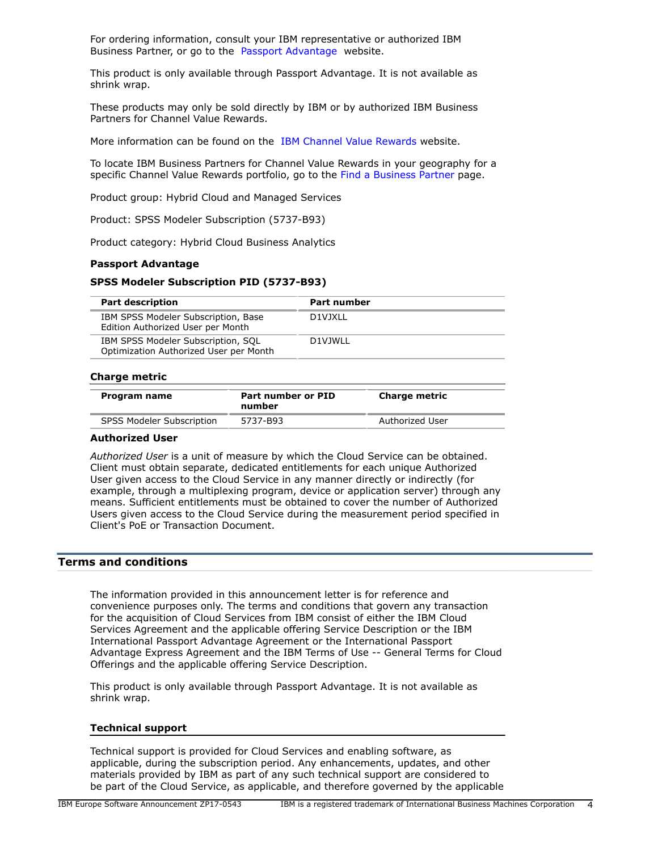For ordering information, consult your IBM representative or authorized IBM Business Partner, or go to the [Passport Advantage](http://www.ibm.com/software/support/pa.html) website.

This product is only available through Passport Advantage. It is not available as shrink wrap.

These products may only be sold directly by IBM or by authorized IBM Business Partners for Channel Value Rewards.

More information can be found on the [IBM Channel Value Rewards](http://www.ibm.com/partnerworld/page/svp_authorized_portfolio) website.

To locate IBM Business Partners for Channel Value Rewards in your geography for a specific Channel Value Rewards portfolio, go to the [Find a Business Partner](http://www.ibm.com/partnerworld/wps/bplocator/) page.

Product group: Hybrid Cloud and Managed Services

Product: SPSS Modeler Subscription (5737-B93)

Product category: Hybrid Cloud Business Analytics

#### **Passport Advantage**

#### **SPSS Modeler Subscription PID (5737-B93)**

| <b>Part description</b>                                                      | <b>Part number</b> |
|------------------------------------------------------------------------------|--------------------|
| IBM SPSS Modeler Subscription, Base<br>Edition Authorized User per Month     | D1VJXLL            |
| IBM SPSS Modeler Subscription, SQL<br>Optimization Authorized User per Month | D1VJWLL            |

#### **Charge metric**

| Program name              | Part number or PID<br>number | <b>Charge metric</b> |
|---------------------------|------------------------------|----------------------|
| SPSS Modeler Subscription | 5737-B93                     | Authorized User      |

#### **Authorized User**

*Authorized User* is a unit of measure by which the Cloud Service can be obtained. Client must obtain separate, dedicated entitlements for each unique Authorized User given access to the Cloud Service in any manner directly or indirectly (for example, through a multiplexing program, device or application server) through any means. Sufficient entitlements must be obtained to cover the number of Authorized Users given access to the Cloud Service during the measurement period specified in Client's PoE or Transaction Document.

## <span id="page-3-0"></span>**Terms and conditions**

The information provided in this announcement letter is for reference and convenience purposes only. The terms and conditions that govern any transaction for the acquisition of Cloud Services from IBM consist of either the IBM Cloud Services Agreement and the applicable offering Service Description or the IBM International Passport Advantage Agreement or the International Passport Advantage Express Agreement and the IBM Terms of Use -- General Terms for Cloud Offerings and the applicable offering Service Description.

This product is only available through Passport Advantage. It is not available as shrink wrap.

#### **Technical support**

Technical support is provided for Cloud Services and enabling software, as applicable, during the subscription period. Any enhancements, updates, and other materials provided by IBM as part of any such technical support are considered to be part of the Cloud Service, as applicable, and therefore governed by the applicable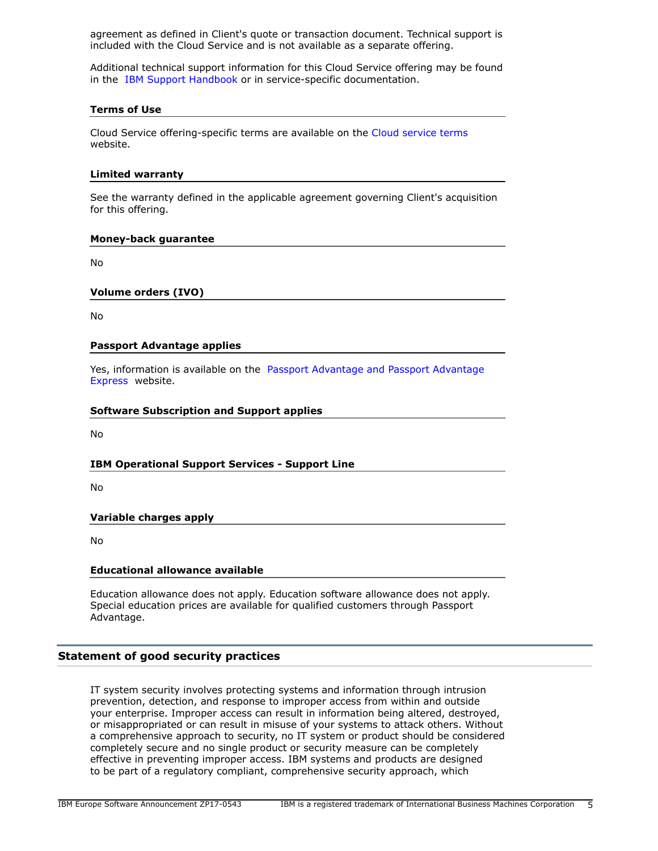agreement as defined in Client's quote or transaction document. Technical support is included with the Cloud Service and is not available as a separate offering.

Additional technical support information for this Cloud Service offering may be found in the [IBM Support Handbook](https://www.ibm.com/software/support/handbook.html) or in service-specific documentation.

## **Terms of Use**

Cloud Service offering-specific terms are available on the [Cloud service terms](http://www.ibm.com/software/sla/sladb.nsf/sla/saas) website.

#### **Limited warranty**

See the warranty defined in the applicable agreement governing Client's acquisition for this offering.

#### **Money-back guarantee**

No

## **Volume orders (IVO)**

No

## **Passport Advantage applies**

Yes, information is available on the [Passport Advantage and Passport Advantage](http://www.ibm.com/software/passportadvantage) [Express](http://www.ibm.com/software/passportadvantage) website.

## **Software Subscription and Support applies**

No

## **IBM Operational Support Services - Support Line**

No

## **Variable charges apply**

No

## **Educational allowance available**

Education allowance does not apply. Education software allowance does not apply. Special education prices are available for qualified customers through Passport Advantage.

## **Statement of good security practices**

IT system security involves protecting systems and information through intrusion prevention, detection, and response to improper access from within and outside your enterprise. Improper access can result in information being altered, destroyed, or misappropriated or can result in misuse of your systems to attack others. Without a comprehensive approach to security, no IT system or product should be considered completely secure and no single product or security measure can be completely effective in preventing improper access. IBM systems and products are designed to be part of a regulatory compliant, comprehensive security approach, which